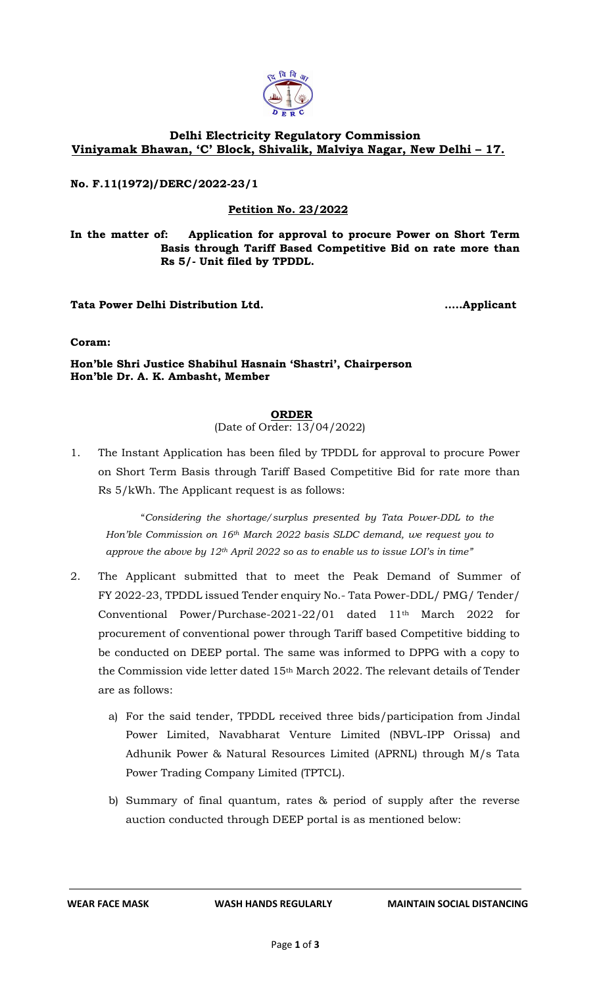

## **Delhi Electricity Regulatory Commission Viniyamak Bhawan, 'C' Block, Shivalik, Malviya Nagar, New Delhi – 17.**

**No. F.11(1972)/DERC/2022-23/1**

## **Petition No. 23/2022**

**In the matter of: Application for approval to procure Power on Short Term Basis through Tariff Based Competitive Bid on rate more than Rs 5/- Unit filed by TPDDL.**

**Tata Power Delhi Distribution Ltd. …..Applicant**

**Coram:** 

**Hon'ble Shri Justice Shabihul Hasnain 'Shastri', Chairperson Hon'ble Dr. A. K. Ambasht, Member**

**ORDER**

(Date of Order: 13/04/2022)

1. The Instant Application has been filed by TPDDL for approval to procure Power on Short Term Basis through Tariff Based Competitive Bid for rate more than Rs 5/kWh. The Applicant request is as follows:

"*Considering the shortage/surplus presented by Tata Power-DDL to the Hon'ble Commission on 16th March 2022 basis SLDC demand, we request you to approve the above by 12th April 2022 so as to enable us to issue LOI's in time"*

- 2. The Applicant submitted that to meet the Peak Demand of Summer of FY 2022-23, TPDDL issued Tender enquiry No.- Tata Power-DDL/ PMG/ Tender/ Conventional Power/Purchase-2021-22/01 dated 11th March 2022 for procurement of conventional power through Tariff based Competitive bidding to be conducted on DEEP portal. The same was informed to DPPG with a copy to the Commission vide letter dated 15th March 2022. The relevant details of Tender are as follows:
	- a) For the said tender, TPDDL received three bids/participation from Jindal Power Limited, Navabharat Venture Limited (NBVL-IPP Orissa) and Adhunik Power & Natural Resources Limited (APRNL) through M/s Tata Power Trading Company Limited (TPTCL).
	- b) Summary of final quantum, rates & period of supply after the reverse auction conducted through DEEP portal is as mentioned below: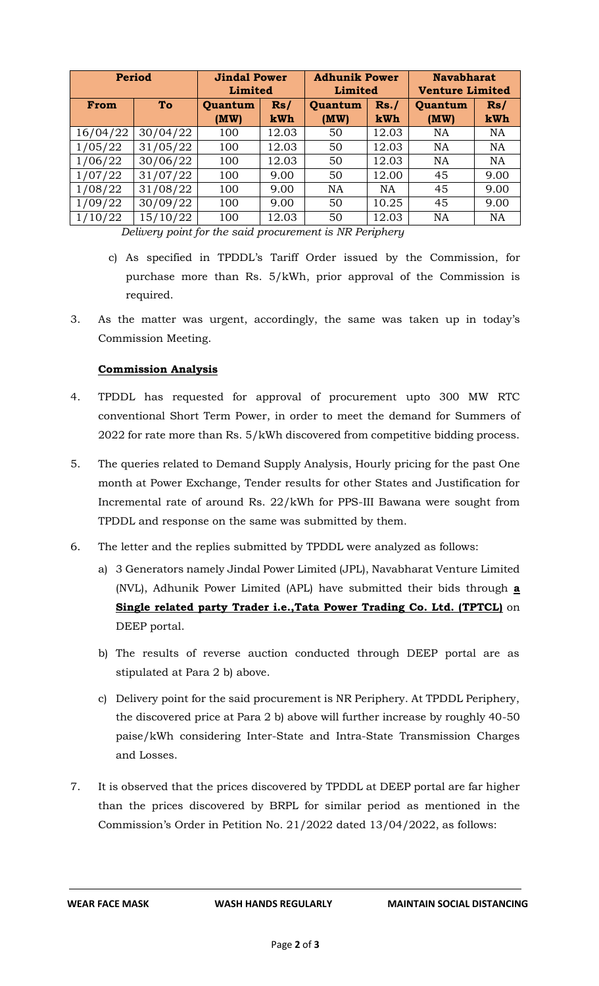| <b>Period</b> |          | <b>Jindal Power</b><br>Limited |                   | <b>Adhunik Power</b><br>Limited |              | <b>Navabharat</b><br><b>Venture Limited</b> |            |
|---------------|----------|--------------------------------|-------------------|---------------------------------|--------------|---------------------------------------------|------------|
| From          | To       |                                | Rs/<br><b>kWh</b> | Quantum<br>(MW)                 | Rs. /<br>kWh | Quantum<br>(MW)                             | Rs/<br>kWh |
| 16/04/22      | 30/04/22 | 100                            | 12.03             | 50                              | 12.03        | <b>NA</b>                                   | <b>NA</b>  |
| 1/05/22       | 31/05/22 | 100                            | 12.03             | 50                              | 12.03        | <b>NA</b>                                   | <b>NA</b>  |
| 1/06/22       | 30/06/22 | 100                            | 12.03             | 50                              | 12.03        | <b>NA</b>                                   | <b>NA</b>  |
| 1/07/22       | 31/07/22 | 100                            | 9.00              | 50                              | 12.00        | 45                                          | 9.00       |
| 1/08/22       | 31/08/22 | 100                            | 9.00              | <b>NA</b>                       | <b>NA</b>    | 45                                          | 9.00       |
| 1/09/22       | 30/09/22 | 100                            | 9.00              | 50                              | 10.25        | 45                                          | 9.00       |
| 1/10/22       | 15/10/22 | 100                            | 12.03             | 50                              | 12.03        | <b>NA</b>                                   | <b>NA</b>  |

 *Delivery point for the said procurement is NR Periphery*

- c) As specified in TPDDL's Tariff Order issued by the Commission, for purchase more than Rs. 5/kWh, prior approval of the Commission is required.
- 3. As the matter was urgent, accordingly, the same was taken up in today's Commission Meeting.

## **Commission Analysis**

- 4. TPDDL has requested for approval of procurement upto 300 MW RTC conventional Short Term Power, in order to meet the demand for Summers of 2022 for rate more than Rs. 5/kWh discovered from competitive bidding process.
- 5. The queries related to Demand Supply Analysis, Hourly pricing for the past One month at Power Exchange, Tender results for other States and Justification for Incremental rate of around Rs. 22/kWh for PPS-III Bawana were sought from TPDDL and response on the same was submitted by them.
- 6. The letter and the replies submitted by TPDDL were analyzed as follows:
	- a) 3 Generators namely Jindal Power Limited (JPL), Navabharat Venture Limited (NVL), Adhunik Power Limited (APL) have submitted their bids through **a Single related party Trader i.e.,Tata Power Trading Co. Ltd. (TPTCL)** on DEEP portal.
	- b) The results of reverse auction conducted through DEEP portal are as stipulated at Para 2 b) above.
	- c) Delivery point for the said procurement is NR Periphery. At TPDDL Periphery, the discovered price at Para 2 b) above will further increase by roughly 40-50 paise/kWh considering Inter-State and Intra-State Transmission Charges and Losses.
- 7. It is observed that the prices discovered by TPDDL at DEEP portal are far higher than the prices discovered by BRPL for similar period as mentioned in the Commission's Order in Petition No. 21/2022 dated 13/04/2022, as follows: